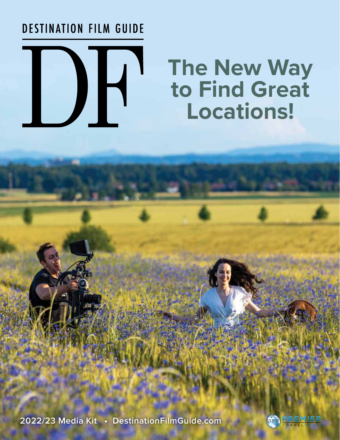# **DESTINATION FILM GUIDE**

# DH.

# **The New Way to Find Great Locations!**

**2022/23 Media Kit • DestinationFilmGuide.com**

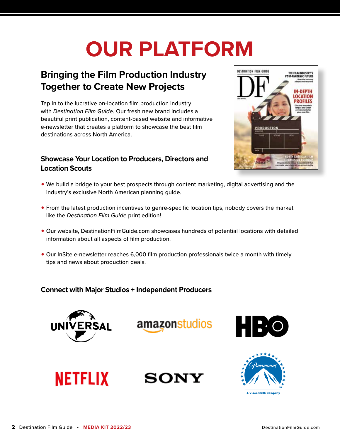# **OUR PLATFORM**

# **Bringing the Film Production Industry Together to Create New Projects**

Tap in to the lucrative on-location film production industry with *Destination Film Guide*. Our fresh new brand includes a beautiful print publication, content-based website and informative e-newsletter that creates a platform to showcase the best film destinations across North America.

# **Showcase Your Location to Producers, Directors and Location Scouts**



- We build a bridge to your best prospects through content marketing, digital advertising and the industry's exclusive North American planning guide.
- From the latest production incentives to genre-specific location tips, nobody covers the market like the *Destination Film Guide* print edition!
- Our website, DestinationFilmGuide.com showcases hundreds of potential locations with detailed information about all aspects of film production.
- Our InSite e-newsletter reaches 6,000 film production professionals twice a month with timely tips and news about production deals.

# **Connect with Major Studios + Independent Producers**

**NETFLIX SONY** 



**amazonstudios** 



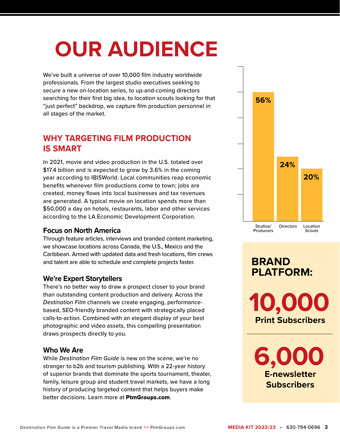# **OUR AUDIENCE**

We've built a universe of over 10,000 film industry worldwide professionals. From the largest studio executives seeking to secure a new on-location series, to up-and-coming directors searching for their first big idea, to location scouts looking for that "just perfect" backdrop, we capture film production personnel in all stages of the market.

# **WHY TARGETING FILM PRODUCTION IS SMART**

In 2021, movie and video production in the U.S. totaled over \$17.4 billion and is expected to grow by 3.6% in the coming year according to IBISWorld. Local communities reap economic benefits whenever film productions come to town; jobs are created, money flows into local businesses and tax revenues are generated. A typical movie on location spends more than \$50,000 a day on hotels, restaurants, labor and other services according to the LA Economic Development Corporation.

# **Focus on North America**

Through feature articles, interviews and branded content marketing, we showcase locations across Canada, the U.S., Mexico and the Caribbean. Armed with updated data and fresh locations, film crews and talent are able to schedule and complete projects faster.

# **We're Expert Storytellers**

There's no better way to draw a prospect closer to your brand than outstanding content production and delivery. Across the *Destination Film* channels we create engaging, performancebased, SEO-friendly branded content with strategically placed calls-to-action. Combined with an elegant display of your best photographic and video assets, this compelling presentation draws prospects directly to you.

# **Who We Are**

While *Destination Film Guide* is new on the scene, we're no stranger to b2b and tourism publishing. With a 22-year history of superior brands that dominate the sports tournament, theater, family, leisure group and student travel markets, we have a long history of producing targeted content that helps buyers make better decisions. Learn more at PtmGroups.com.



# **BRAND PLATFORM:**

**10,000 Print Subscribers**

**6,000 E-newsletter Subscribers**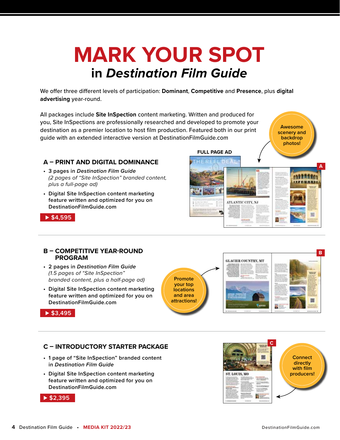# **MARK YOUR SPOT in** *Destination Film Guide*

We offer three different levels of participation: **Dominant**, **Competitive** and **Presence**, plus **digital advertising** year-round.

All packages include **Site InSpection** content marketing. Written and produced for you, Site InSpections are professionally researched and developed to promote your destination as a premier location to host film production. Featured both in our print guide with an extended interactive version at DestinationFilmGuide.com

# **A – PRINT AND DIGITAL DOMINANCE**

- **3 pages in** *Destination Film Guide (2 pages of "Site InSpection" branded content, plus a full-page ad)*
- **Digital Site InSpection content marketing feature written and optimized for you on DestinationFilmGuide.com⊲**



### **B – COMPETITIVE YEAR-ROUND PROGRAM**

- **2 pages in** *Destination Film Guide* *(1.5 pages of "Site InSpection" branded content, plus a half-page ad)*
- **Digital Site InSpection content marketing feature written and optimized for you on DestinationFilmGuide.com⊲**

**Promote your top locations and area attractions!**

**FULL PAGE AD**

M

ATLANTIC CITY, NJ



**A**

**AND RAIDS The Line of D** 

**Awesome scenery and backdrop photos!**

### **⊲ \$3,495**

# **C – INTRODUCTORY STARTER PACKAGE**

- **1 page of "Site InSpection" branded content in** *Destination Film Guide*
- **Digital Site InSpection content marketing feature written and optimized for you on DestinationFilmGuide.com**



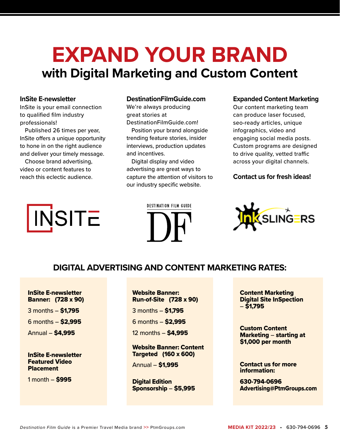# **EXPAND YOUR BRAND with Digital Marketing and Custom Content**

# **InSite E-newsletter**

InSite is your email connection to qualified film industry professionals!

Published 26 times per year, InSite offers a unique opportunity to hone in on the right audience and deliver your timely message.

Choose brand advertising, video or content features to reach this eclectic audience.

### **DestinationFilmGuide.com**

We're always producing great stories at DestinationFilmGuide.com!

Position your brand alongside trending feature stories, insider interviews, production updates and incentives.

Digital display and video advertising are great ways to capture the attention of visitors to our industry specific website.

### **Expanded Content Marketing**

Our content marketing team can produce laser focused, seo-ready articles, unique infographics, video and engaging social media posts. Custom programs are designed to drive quality, vetted traffic across your digital channels.

# **Contact us for fresh ideas!**







# **DIGITAL ADVERTISING AND CONTENT MARKETING RATES:**

InSite E-newsletter Banner: (728 x 90)

3 months – \$1,795

6 months – \$2,995

Annual – \$4,995

InSite E-newsletter Featured Video Placement

1 month – \$995

# Website Banner: Run-of-Site (728 x 90)

3 months – \$1,795

6 months – \$2,995

12 months – \$4,995

Website Banner: Content Targeted (160 x 600)

Annual – \$1,995

Digital Edition Sponsorship – \$5,995 Content Marketing Digital Site InSpection – \$1,795

Custom Content Marketing – starting at \$1,000 per month

Contact us for more information:

630-794-0696 Advertising@PtmGroups.com